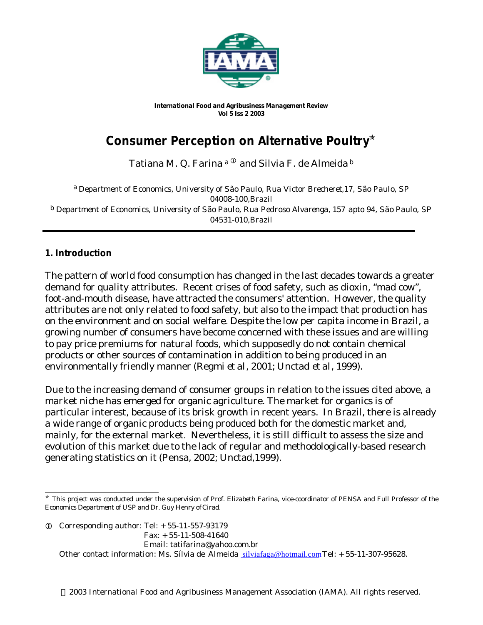

*International Food and Agribusiness Management Review Vol 5 Iss 2 2003*

# **Consumer Perception on Alternative Poultry**<sup>ò</sup>

Tatiana M. Q. Farina<sup>a ®</sup> and Silvia F. de Almeida<sup>b</sup>

a *Department of Economics, University of São Paulo, Rua Victor Brecheret,17, São Paulo, SP 04008-100,Brazil* b *Department of Economics, University of São Paulo, Rua Pedroso Alvarenga, 157 apto 94, São Paulo, SP 04531-010,Brazil*

## **1. Introduction**

The pattern of world food consumption has changed in the last decades towards a greater demand for quality attributes. Recent crises of food safety, such as dioxin, "mad cow", foot-and-mouth disease, have attracted the consumers' attention. However, the quality attributes are not only related to food safety, but also to the impact that production has on the environment and on social welfare. Despite the low per capita income in Brazil, a growing number of consumers have become concerned with these issues and are willing to pay price premiums for natural foods, which supposedly do not contain chemical products or other sources of contamination in addition to being produced in an environmentally friendly manner (Regmi *et al*, 2001; Unctad *et al*, 1999).

Due to the increasing demand of consumer groups in relation to the issues cited above, a market niche has emerged for organic agriculture. The market for organics is of particular interest, because of its brisk growth in recent years. In Brazil, there is already a wide range of organic products being produced both for the domestic market and, mainly, for the external market. Nevertheless, it is still difficult to assess the size and evolution of this market due to the lack of regular and methodologically-based research generating statistics on it (Pensa, 2002; Unctad,1999).

 $Q$  Corresponding author: Tel:  $+ 55-11-557-93179$ 

Fax: + 55-11-508-41640

Email: tatifarina@yahoo.com.br

Other contact information: Ms. Sílvia de Almeida silviafaga@hotmail.comTel: + 55-11-307-95628.

l  $*$  This project was conducted under the supervision of Prof. Elizabeth Farina, vice-coordinator of PENSA and Full Professor of the Economics Department of USP and Dr. Guy Henry of Cirad.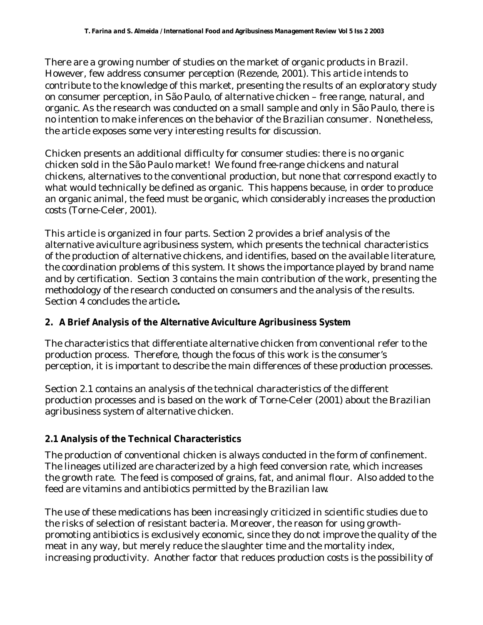There are a growing number of studies on the market of organic products in Brazil. However, few address consumer perception (Rezende, 2001). This article intends to contribute to the knowledge of this market, presenting the results of an exploratory study on consumer perception, in São Paulo, of alternative chicken – free range, natural, and organic. As the research was conducted on a small sample and only in São Paulo, there is no intention to make inferences on the behavior of the Brazilian consumer. Nonetheless, the article exposes some very interesting results for discussion.

Chicken presents an additional difficulty for consumer studies: there is no organic chicken sold in the São Paulo market! We found free-range chickens and natural chickens, alternatives to the conventional production, but none that correspond exactly to what would technically be defined as organic. This happens because, in order to produce an organic animal, the feed must be organic, which considerably increases the production costs (Torne-Celer, 2001).

This article is organized in four parts. Section 2 provides a brief analysis of the alternative aviculture agribusiness system, which presents the technical characteristics of the production of alternative chickens, and identifies, based on the available literature, the coordination problems of this system. It shows the importance played by brand name and by certification. Section 3 contains the main contribution of the work, presenting the methodology of the research conducted on consumers and the analysis of the results. Section 4 concludes the article**.**

## **2. A Brief Analysis of the Alternative Aviculture Agribusiness System**

The characteristics that differentiate alternative chicken from conventional refer to the production process. Therefore, though the focus of this work is the consumer's perception, it is important to describe the main differences of these production processes.

Section 2.1 contains an analysis of the technical characteristics of the different production processes and is based on the work of Torne-Celer (2001) about the Brazilian agribusiness system of alternative chicken.

## **2.1 Analysis of the Technical Characteristics**

The production of conventional chicken is always conducted in the form of confinement. The lineages utilized are characterized by a high feed conversion rate, which increases the growth rate. The feed is composed of grains, fat, and animal flour. Also added to the feed are vitamins and antibiotics permitted by the Brazilian law.

The use of these medications has been increasingly criticized in scientific studies due to the risks of selection of resistant bacteria. Moreover, the reason for using growthpromoting antibiotics is exclusively economic, since they do not improve the quality of the meat in any way, but merely reduce the slaughter time and the mortality index, increasing productivity. Another factor that reduces production costs is the possibility of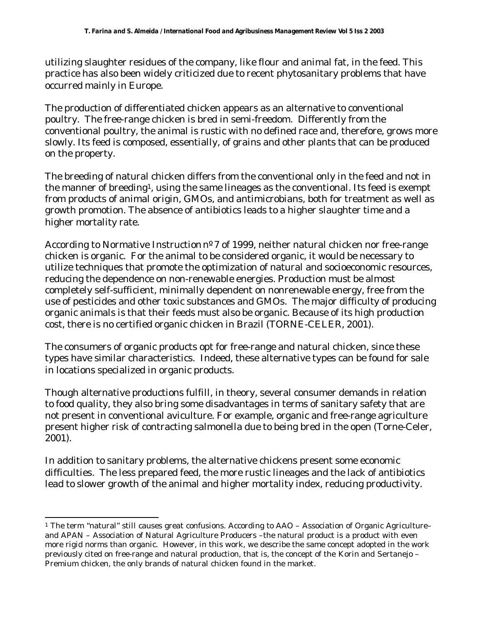utilizing slaughter residues of the company, like flour and animal fat, in the feed. This practice has also been widely criticized due to recent phytosanitary problems that have occurred mainly in Europe.

The production of differentiated chicken appears as an alternative to conventional poultry. The free-range chicken is bred in semi-freedom. Differently from the conventional poultry, the animal is rustic with no defined race and, therefore, grows more slowly. Its feed is composed, essentially, of grains and other plants that can be produced on the property.

The breeding of natural chicken differs from the conventional only in the feed and not in the manner of breeding<sup>1</sup>, using the same lineages as the conventional. Its feed is exempt from products of animal origin, GMOs, and antimicrobians, both for treatment as well as growth promotion. The absence of antibiotics leads to a higher slaughter time and a higher mortality rate.

According to Normative Instruction nº 7 of 1999, neither natural chicken nor free-range chicken is organic. For the animal to be considered organic, it would be necessary to utilize techniques that promote the optimization of natural and socioeconomic resources, reducing the dependence on non-renewable energies. Production must be almost completely self-sufficient, minimally dependent on nonrenewable energy, free from the use of pesticides and other toxic substances and GMOs. The major difficulty of producing organic animals is that their feeds must also be organic. Because of its high production cost, there is no certified organic chicken in Brazil (TORNE-CELER, 2001).

The consumers of organic products opt for free-range and natural chicken, since these types have similar characteristics. Indeed, these alternative types can be found for sale in locations specialized in organic products.

Though alternative productions fulfill, in theory, several consumer demands in relation to food quality, they also bring some disadvantages in terms of sanitary safety that are not present in conventional aviculture. For example, organic and free-range agriculture present higher risk of contracting salmonella due to being bred in the open (Torne-Celer, 2001).

In addition to sanitary problems, the alternative chickens present some economic difficulties. The less prepared feed, the more rustic lineages and the lack of antibiotics lead to slower growth of the animal and higher mortality index, reducing productivity.

l

<sup>1</sup> The term "natural" still causes great confusions. According to AAO – Association of Organic Agriculture– and APAN – Association of Natural Agriculture Producers –the natural product is a product with even more rigid norms than organic. However, in this work, we describe the same concept adopted in the work previously cited on free-range and natural production, that is, the concept of the Korin and Sertanejo – Premium chicken, the only brands of natural chicken found in the market.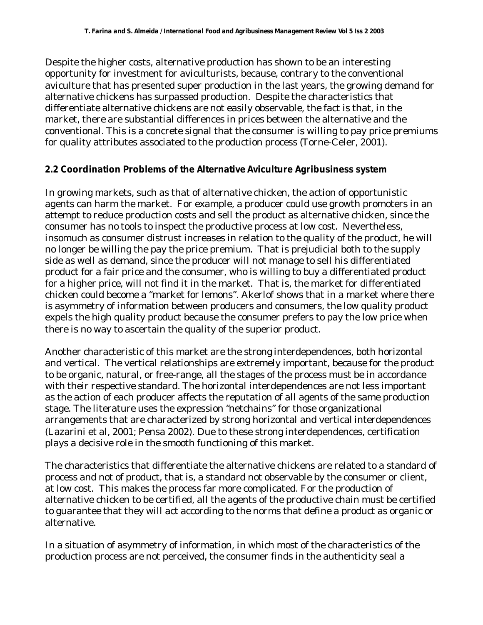Despite the higher costs, alternative production has shown to be an interesting opportunity for investment for aviculturists, because, contrary to the conventional aviculture that has presented super production in the last years, the growing demand for alternative chickens has surpassed production. Despite the characteristics that differentiate alternative chickens are not easily observable, the fact is that, in the market, there are substantial differences in prices between the alternative and the conventional. This is a concrete signal that the consumer is willing to pay price premiums for quality attributes associated to the production process (Torne-Celer, 2001).

## **2.2 Coordination Problems of the Alternative Aviculture Agribusiness system**

In growing markets, such as that of alternative chicken, the action of opportunistic agents can harm the market. For example, a producer could use growth promoters in an attempt to reduce production costs and sell the product as alternative chicken, since the consumer has no tools to inspect the productive process at low cost. Nevertheless, insomuch as consumer distrust increases in relation to the quality of the product, he will no longer be willing the pay the price premium. That is prejudicial both to the supply side as well as demand, since the producer will not manage to sell his differentiated product for a fair price and the consumer, who is willing to buy a differentiated product for a higher price, will not find it in the market. That is, the market for differentiated chicken could become a "market for lemons". Akerlof shows that in a market where there is asymmetry of information between producers and consumers, the low quality product expels the high quality product because the consumer prefers to pay the low price when there is no way to ascertain the quality of the superior product.

Another characteristic of this market are the strong interdependences, both horizontal and vertical. The vertical relationships are extremely important, because for the product to be organic, natural, or free-range, all the stages of the process must be in accordance with their respective standard. The horizontal interdependences are not less important as the action of each producer affects the reputation of all agents of the same production stage. The literature uses the expression "netchains" for those organizational arrangements that are characterized by strong horizontal and vertical interdependences (Lazarini et al, 2001; Pensa 2002). Due to these strong interdependences, certification plays a decisive role in the smooth functioning of this market.

The characteristics that differentiate the alternative chickens are related to a standard of process and not of product, that is, a standard not observable by the consumer or client, at low cost. This makes the process far more complicated. For the production of alternative chicken to be certified, all the agents of the productive chain must be certified to guarantee that they will act according to the norms that define a product as organic or alternative.

In a situation of asymmetry of information, in which most of the characteristics of the production process are not perceived, the consumer finds in the authenticity seal a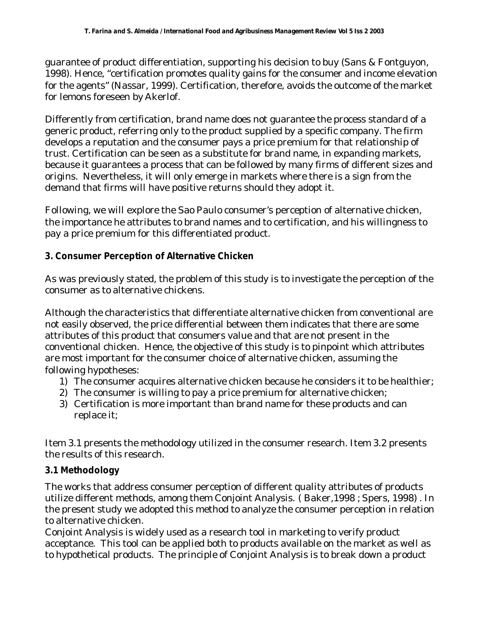guarantee of product differentiation, supporting his decision to buy (Sans & Fontguyon, 1998). Hence, "certification promotes quality gains for the consumer and income elevation for the agents" (Nassar, 1999). Certification, therefore, avoids the outcome of the market for lemons foreseen by Akerlof.

Differently from certification, brand name does not guarantee the process standard of a generic product, referring only to the product supplied by a specific company. The firm develops a reputation and the consumer pays a price premium for that relationship of trust. Certification can be seen as a substitute for brand name, in expanding markets, because it guarantees a process that can be followed by many firms of different sizes and origins. Nevertheless, it will only emerge in markets where there is a sign from the demand that firms will have positive returns should they adopt it.

Following, we will explore the Sao Paulo consumer's perception of alternative chicken, the importance he attributes to brand names and to certification, and his willingness to pay a price premium for this differentiated product.

## **3. Consumer Perception of Alternative Chicken**

As was previously stated, the problem of this study is to investigate the perception of the consumer as to alternative chickens.

Although the characteristics that differentiate alternative chicken from conventional are not easily observed, the price differential between them indicates that there are some attributes of this product that consumers value and that are not present in the conventional chicken. Hence, the objective of this study is to pinpoint which attributes are most important for the consumer choice of alternative chicken, assuming the following hypotheses:

- 1) The consumer acquires alternative chicken because he considers it to be healthier;
- 2) The consumer is willing to pay a price premium for alternative chicken;
- 3) Certification is more important than brand name for these products and can replace it;

Item 3.1 presents the methodology utilized in the consumer research. Item 3.2 presents the results of this research.

## **3.1 Methodology**

The works that address consumer perception of different quality attributes of products utilize different methods, among them Conjoint Analysis. ( Baker,1998 ; Spers, 1998) . In the present study we adopted this method to analyze the consumer perception in relation to alternative chicken.

Conjoint Analysis is widely used as a research tool in marketing to verify product acceptance. This tool can be applied both to products available on the market as well as to hypothetical products. The principle of Conjoint Analysis is to break down a product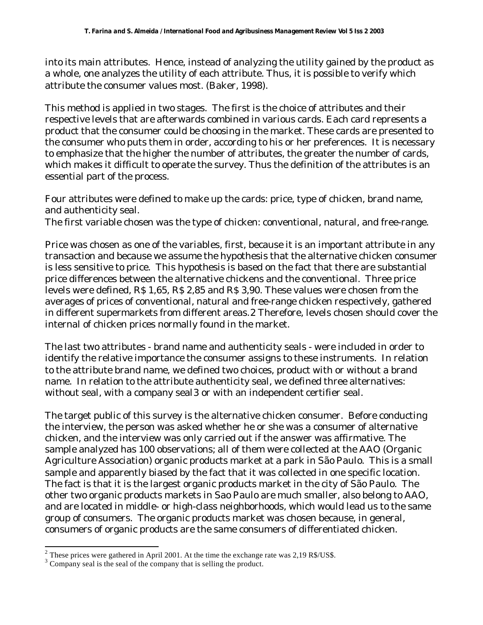into its main attributes. Hence, instead of analyzing the utility gained by the product as a whole, one analyzes the utility of each attribute. Thus, it is possible to verify which attribute the consumer values most. (Baker, 1998).

This method is applied in two stages. The first is the choice of attributes and their respective levels that are afterwards combined in various cards. Each card represents a product that the consumer could be choosing in the market. These cards are presented to the consumer who puts them in order, according to his or her preferences. It is necessary to emphasize that the higher the number of attributes, the greater the number of cards, which makes it difficult to operate the survey. Thus the definition of the attributes is an essential part of the process.

Four attributes were defined to make up the cards: price, type of chicken, brand name, and authenticity seal.

The first variable chosen was the type of chicken: conventional, natural, and free-range.

Price was chosen as one of the variables, first, because it is an important attribute in any transaction and because we assume the hypothesis that the alternative chicken consumer is less sensitive to price. This hypothesis is based on the fact that there are substantial price differences between the alternative chickens and the conventional. Three price levels were defined, R\$ 1,65, R\$ 2,85 and R\$ 3,90. These values were chosen from the averages of prices of conventional, natural and free-range chicken respectively, gathered in different supermarkets from different areas.2 Therefore, levels chosen should cover the internal of chicken prices normally found in the market.

The last two attributes - brand name and authenticity seals - were included in order to identify the relative importance the consumer assigns to these instruments. In relation to the attribute brand name, we defined two choices, product with or without a brand name. In relation to the attribute authenticity seal, we defined three alternatives: without seal, with a company seal3 or with an independent certifier seal.

The target public of this survey is the alternative chicken consumer. Before conducting the interview, the person was asked whether he or she was a consumer of alternative chicken, and the interview was only carried out if the answer was affirmative. The sample analyzed has 100 observations; all of them were collected at the AAO (Organic Agriculture Association) organic products market at a park in São Paulo. This is a small sample and apparently biased by the fact that it was collected in one specific location. The fact is that it is the largest organic products market in the city of São Paulo. The other two organic products markets in Sao Paulo are much smaller, also belong to AAO, and are located in middle- or high-class neighborhoods, which would lead us to the same group of consumers. The organic products market was chosen because, in general, consumers of organic products are the same consumers of differentiated chicken.

l

<sup>&</sup>lt;sup>2</sup> These prices were gathered in April 2001. At the time the exchange rate was 2,19 R\$/US\$.

<sup>&</sup>lt;sup>3</sup> Company seal is the seal of the company that is selling the product.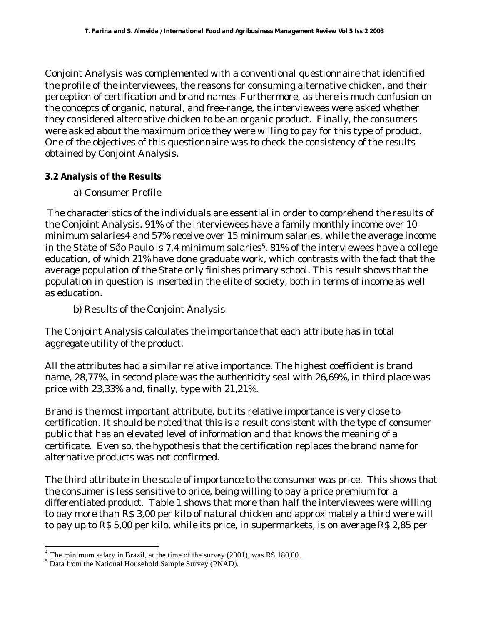Conjoint Analysis was complemented with a conventional questionnaire that identified the profile of the interviewees, the reasons for consuming alternative chicken, and their perception of certification and brand names. Furthermore, as there is much confusion on the concepts of organic, natural, and free-range, the interviewees were asked whether they considered alternative chicken to be an organic product. Finally, the consumers were asked about the maximum price they were willing to pay for this type of product. One of the objectives of this questionnaire was to check the consistency of the results obtained by Conjoint Analysis.

### **3.2 Analysis of the Results**

a) Consumer Profile

 The characteristics of the individuals are essential in order to comprehend the results of the Conjoint Analysis. 91% of the interviewees have a family monthly income over 10 minimum salaries4 and 57% receive over 15 minimum salaries, while the average income in the State of São Paulo is 7,4 minimum salaries<sup>5</sup>. 81% of the interviewees have a college education, of which 21% have done graduate work, which contrasts with the fact that the average population of the State only finishes primary school. This result shows that the population in question is inserted in the elite of society, both in terms of income as well as education.

b) Results of the Conjoint Analysis

The Conjoint Analysis calculates the importance that each attribute has in total aggregate utility of the product.

All the attributes had a similar relative importance. The highest coefficient is brand name, 28,77%, in second place was the authenticity seal with 26,69%, in third place was price with 23,33% and, finally, type with 21,21%.

Brand is the most important attribute, but its relative importance is very close to certification. It should be noted that this is a result consistent with the type of consumer public that has an elevated level of information and that knows the meaning of a certificate. Even so, the hypothesis that the certification replaces the brand name for alternative products was not confirmed.

The third attribute in the scale of importance to the consumer was price. This shows that the consumer is less sensitive to price, being willing to pay a price premium for a differentiated product. Table 1 shows that more than half the interviewees were willing to pay more than R\$ 3,00 per kilo of natural chicken and approximately a third were will to pay up to R\$ 5,00 per kilo, while its price, in supermarkets, is on average R\$ 2,85 per

l

 $4$  The minimum salary in Brazil, at the time of the survey (2001), was R\$ 180,00.

<sup>5</sup> Data from the National Household Sample Survey (PNAD).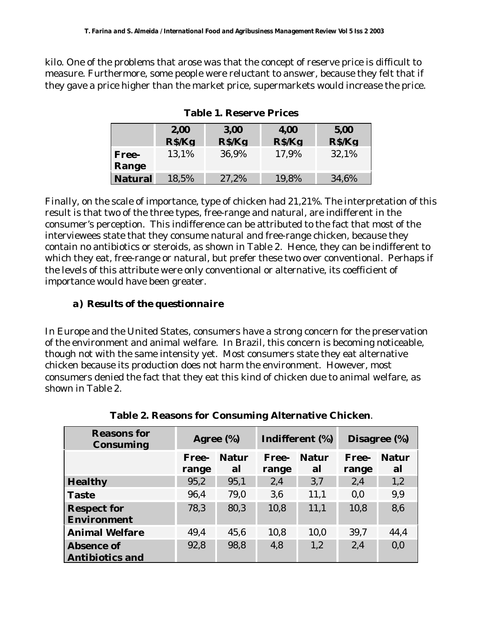kilo. One of the problems that arose was that the concept of reserve price is difficult to measure. Furthermore, some people were reluctant to answer, because they felt that if they gave a price higher than the market price, supermarkets would increase the price.

|                | 2,00   | 3,00   | 4,00   | 5,00   |
|----------------|--------|--------|--------|--------|
|                | R\$/Kg | R\$/Kg | R\$/Kg | R\$/Kg |
| Free-          | 13.1%  | 36,9%  | 17,9%  | 32,1%  |
| Range          |        |        |        |        |
| <b>Natural</b> | 18,5%  | 27,2%  | 19,8%  | 34,6%  |

**Table 1. Reserve Prices**

Finally, on the scale of importance, type of chicken had 21,21%. The interpretation of this result is that two of the three types, free-range and natural, are indifferent in the consumer's perception. This indifference can be attributed to the fact that most of the interviewees state that they consume natural and free-range chicken, because they contain no antibiotics or steroids, as shown in Table 2. Hence, they can be indifferent to which they eat, free-range or natural, but prefer these two over conventional. Perhaps if the levels of this attribute were only conventional or alternative, its coefficient of importance would have been greater.

## *a) Results of the questionnaire*

In Europe and the United States, consumers have a strong concern for the preservation of the environment and animal welfare. In Brazil, this concern is becoming noticeable, though not with the same intensity yet. Most consumers state they eat alternative chicken because its production does not harm the environment. However, most consumers denied the fact that they eat this kind of chicken due to animal welfare, as shown in Table 2.

| <b>Reasons for</b><br><b>Consuming</b>      | Agree (%)      |                    | Indifferent (%) |                    | Disagree (%)   |                    |
|---------------------------------------------|----------------|--------------------|-----------------|--------------------|----------------|--------------------|
|                                             | Free-<br>range | <b>Natur</b><br>al | Free-<br>range  | <b>Natur</b><br>al | Free-<br>range | <b>Natur</b><br>al |
| <b>Healthy</b>                              | 95,2           | 95,1               | 2,4             | 3.7                | 2,4            | 1,2                |
| <b>Taste</b>                                | 96.4           | 79,0               | 3.6             | 11,1               | 0.0            | 9,9                |
| <b>Respect for</b><br>Environment           | 78.3           | 80,3               | 10,8            | 11,1               | 10,8           | 8,6                |
| <b>Animal Welfare</b>                       | 49.4           | 45,6               | 10,8            | 10,0               | 39,7           | 44,4               |
| <b>Absence of</b><br><b>Antibiotics and</b> | 92,8           | 98,8               | 4,8             | 1,2                | 2,4            | 0,0                |

**Table 2. Reasons for Consuming Alternative Chicken**.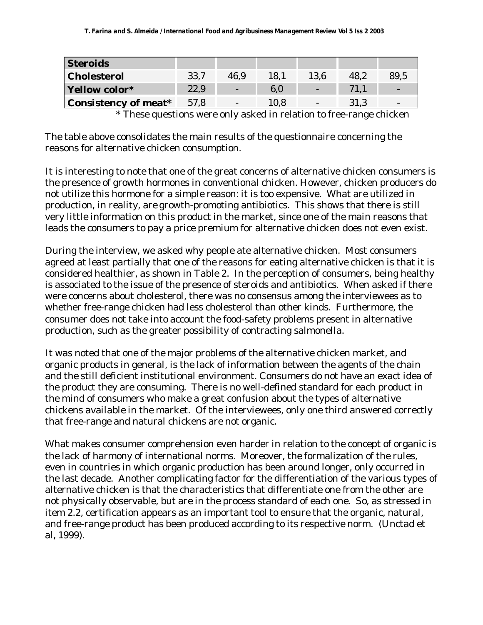| <b>Steroids</b>             |      |                          |      |                          |      |      |
|-----------------------------|------|--------------------------|------|--------------------------|------|------|
| <b>Cholesterol</b>          | 33.7 | 46.9                     | 18.1 | 13.6                     | 48.2 | 89,5 |
| Yellow color*               | 22,9 | $\overline{\phantom{a}}$ | 6.0  | -                        | 71.1 |      |
| <b>Consistency of meat*</b> | 57,8 | $\overline{\phantom{0}}$ | 10.8 | $\overline{\phantom{0}}$ | 31.3 |      |

\* These questions were only asked in relation to free-range chicken

The table above consolidates the main results of the questionnaire concerning the reasons for alternative chicken consumption.

It is interesting to note that one of the great concerns of alternative chicken consumers is the presence of growth hormones in conventional chicken. However, chicken producers do not utilize this hormone for a simple reason: it is too expensive. What are utilized in production, in reality, are growth-promoting antibiotics. This shows that there is still very little information on this product in the market, since one of the main reasons that leads the consumers to pay a price premium for alternative chicken does not even exist.

During the interview, we asked why people ate alternative chicken. Most consumers agreed at least partially that one of the reasons for eating alternative chicken is that it is considered healthier, as shown in Table 2. In the perception of consumers, being healthy is associated to the issue of the presence of steroids and antibiotics. When asked if there were concerns about cholesterol, there was no consensus among the interviewees as to whether free-range chicken had less cholesterol than other kinds. Furthermore, the consumer does not take into account the food-safety problems present in alternative production, such as the greater possibility of contracting salmonella.

It was noted that one of the major problems of the alternative chicken market, and organic products in general, is the lack of information between the agents of the chain and the still deficient institutional environment. Consumers do not have an exact idea of the product they are consuming. There is no well-defined standard for each product in the mind of consumers who make a great confusion about the types of alternative chickens available in the market. Of the interviewees, only one third answered correctly that free-range and natural chickens are not organic.

What makes consumer comprehension even harder in relation to the concept of organic is the lack of harmony of international norms. Moreover, the formalization of the rules, even in countries in which organic production has been around longer, only occurred in the last decade. Another complicating factor for the differentiation of the various types of alternative chicken is that the characteristics that differentiate one from the other are not physically observable, but are in the process standard of each one. So, as stressed in item 2.2, certification appears as an important tool to ensure that the organic, natural, and free-range product has been produced according to its respective norm. (Unctad et al, 1999).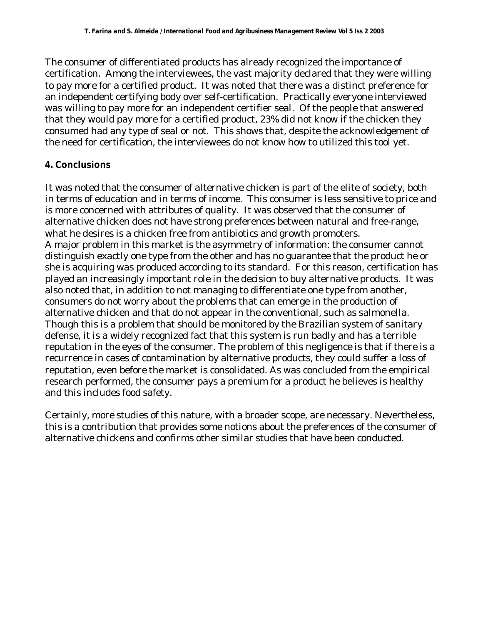The consumer of differentiated products has already recognized the importance of certification. Among the interviewees, the vast majority declared that they were willing to pay more for a certified product. It was noted that there was a distinct preference for an independent certifying body over self-certification. Practically everyone interviewed was willing to pay more for an independent certifier seal. Of the people that answered that they would pay more for a certified product, 23% did not know if the chicken they consumed had any type of seal or not. This shows that, despite the acknowledgement of the need for certification, the interviewees do not know how to utilized this tool yet.

## **4. Conclusions**

It was noted that the consumer of alternative chicken is part of the elite of society, both in terms of education and in terms of income. This consumer is less sensitive to price and is more concerned with attributes of quality. It was observed that the consumer of alternative chicken does not have strong preferences between natural and free-range, what he desires is a chicken free from antibiotics and growth promoters. A major problem in this market is the asymmetry of information: the consumer cannot distinguish exactly one type from the other and has no guarantee that the product he or she is acquiring was produced according to its standard. For this reason, certification has played an increasingly important role in the decision to buy alternative products. It was also noted that, in addition to not managing to differentiate one type from another, consumers do not worry about the problems that can emerge in the production of alternative chicken and that do not appear in the conventional, such as salmonella. Though this is a problem that should be monitored by the Brazilian system of sanitary defense, it is a widely recognized fact that this system is run badly and has a terrible reputation in the eyes of the consumer. The problem of this negligence is that if there is a recurrence in cases of contamination by alternative products, they could suffer a loss of reputation, even before the market is consolidated. As was concluded from the empirical research performed, the consumer pays a premium for a product he believes is healthy and this includes food safety.

Certainly, more studies of this nature, with a broader scope, are necessary. Nevertheless, this is a contribution that provides some notions about the preferences of the consumer of alternative chickens and confirms other similar studies that have been conducted.